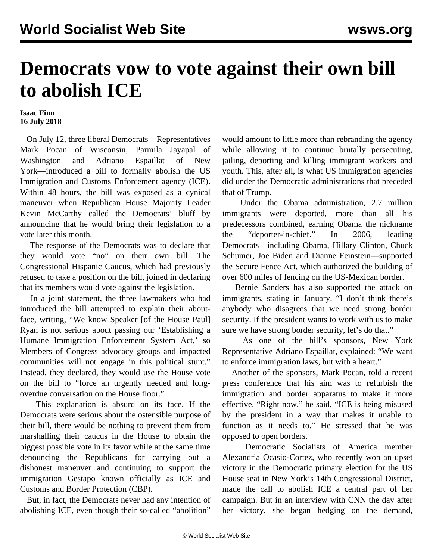## **Democrats vow to vote against their own bill to abolish ICE**

## **Isaac Finn 16 July 2018**

 On July 12, three liberal Democrats—Representatives Mark Pocan of Wisconsin, Parmila Jayapal of Washington and Adriano Espaillat of New York—introduced a bill to formally abolish the US Immigration and Customs Enforcement agency (ICE). Within 48 hours, the bill was exposed as a cynical maneuver when Republican House Majority Leader Kevin McCarthy called the Democrats' bluff by announcing that he would bring their legislation to a vote later this month.

 The response of the Democrats was to declare that they would vote "no" on their own bill. The Congressional Hispanic Caucus, which had previously refused to take a position on the bill, joined in declaring that its members would vote against the legislation.

 In a joint statement, the three lawmakers who had introduced the bill attempted to explain their aboutface, writing, "We know Speaker [of the House Paul] Ryan is not serious about passing our 'Establishing a Humane Immigration Enforcement System Act,' so Members of Congress advocacy groups and impacted communities will not engage in this political stunt." Instead, they declared, they would use the House vote on the bill to "force an urgently needed and longoverdue conversation on the House floor."

 This explanation is absurd on its face. If the Democrats were serious about the ostensible purpose of their bill, there would be nothing to prevent them from marshalling their caucus in the House to obtain the biggest possible vote in its favor while at the same time denouncing the Republicans for carrying out a dishonest maneuver and continuing to support the immigration Gestapo known officially as ICE and Customs and Border Protection (CBP).

 But, in fact, the Democrats never had any intention of abolishing ICE, even though their so-called "abolition"

would amount to little more than rebranding the agency while allowing it to continue brutally persecuting, jailing, deporting and killing immigrant workers and youth. This, after all, is what US immigration agencies did under the Democratic administrations that preceded that of Trump.

 Under the Obama administration, 2.7 million immigrants were deported, more than all his predecessors combined, earning Obama the nickname the "deporter-in-chief." In 2006, leading Democrats—including Obama, Hillary Clinton, Chuck Schumer, Joe Biden and Dianne Feinstein—supported the Secure Fence Act, which authorized the building of over 600 miles of fencing on the US-Mexican border.

 Bernie Sanders has also supported the attack on immigrants, stating in January, "I don't think there's anybody who disagrees that we need strong border security. If the president wants to work with us to make sure we have strong border security, let's do that."

 As one of the bill's sponsors, New York Representative Adriano Espaillat, explained: "We want to enforce immigration laws, but with a heart."

 Another of the sponsors, Mark Pocan, told a recent press conference that his aim was to refurbish the immigration and border apparatus to make it more effective. "Right now," he said, "ICE is being misused by the president in a way that makes it unable to function as it needs to." He stressed that he was opposed to open borders.

 Democratic Socialists of America member Alexandria Ocasio-Cortez, who recently won an upset victory in the Democratic primary election for the US House seat in New York's 14th Congressional District, made the call to abolish ICE a central part of her campaign. But in an interview with CNN the day after her victory, she began hedging on the demand,